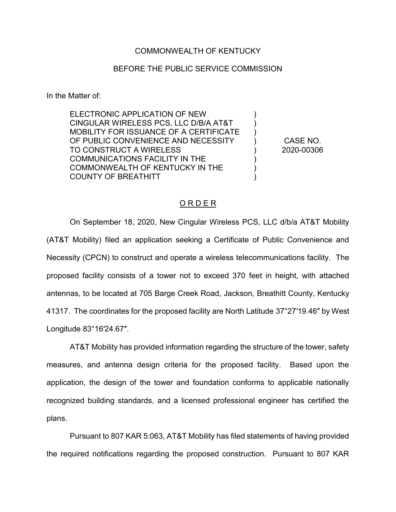## COMMONWEALTH OF KENTUCKY

## BEFORE THE PUBLIC SERVICE COMMISSION

In the Matter of:

ELECTRONIC APPLICATION OF NEW CINGULAR WIRELESS PCS, LLC D/B/A AT&T MOBILITY FOR ISSUANCE OF A CERTIFICATE OF PUBLIC CONVENIENCE AND NECESSITY TO CONSTRUCT A WIRELESS COMMUNICATIONS FACILITY IN THE COMMONWEALTH OF KENTUCKY IN THE COUNTY OF BREATHITT

CASE NO. 2020-00306

) ) ) ) ) ) ) )

## O R D E R

On September 18, 2020, New Cingular Wireless PCS, LLC d/b/a AT&T Mobility (AT&T Mobility) filed an application seeking a Certificate of Public Convenience and Necessity (CPCN) to construct and operate a wireless telecommunications facility. The proposed facility consists of a tower not to exceed 370 feet in height, with attached antennas, to be located at 705 Barge Creek Road, Jackson, Breathitt County, Kentucky 41317. The coordinates for the proposed facility are North Latitude 37°27′19.46″ by West Longitude 83°16′24.67″.

AT&T Mobility has provided information regarding the structure of the tower, safety measures, and antenna design criteria for the proposed facility. Based upon the application, the design of the tower and foundation conforms to applicable nationally recognized building standards, and a licensed professional engineer has certified the plans.

Pursuant to 807 KAR 5:063, AT&T Mobility has filed statements of having provided the required notifications regarding the proposed construction. Pursuant to 807 KAR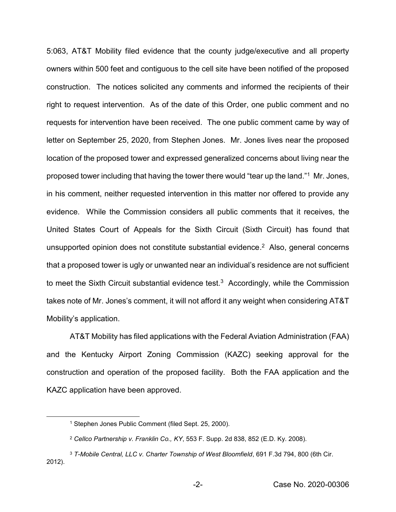5:063, AT&T Mobility filed evidence that the county judge/executive and all property owners within 500 feet and contiguous to the cell site have been notified of the proposed construction. The notices solicited any comments and informed the recipients of their right to request intervention. As of the date of this Order, one public comment and no requests for intervention have been received. The one public comment came by way of letter on September 25, 2020, from Stephen Jones. Mr. Jones lives near the proposed location of the proposed tower and expressed generalized concerns about living near the proposed tower including that having the tower there would "tear up the land."1 Mr. Jones, in his comment, neither requested intervention in this matter nor offered to provide any evidence. While the Commission considers all public comments that it receives, the United States Court of Appeals for the Sixth Circuit (Sixth Circuit) has found that unsupported opinion does not constitute substantial evidence. <sup>2</sup> Also, general concerns that a proposed tower is ugly or unwanted near an individual's residence are not sufficient to meet the Sixth Circuit substantial evidence test. $3$  Accordingly, while the Commission takes note of Mr. Jones's comment, it will not afford it any weight when considering AT&T Mobility's application.

AT&T Mobility has filed applications with the Federal Aviation Administration (FAA) and the Kentucky Airport Zoning Commission (KAZC) seeking approval for the construction and operation of the proposed facility. Both the FAA application and the KAZC application have been approved.

 $\overline{\phantom{a}}$ 

<sup>&</sup>lt;sup>1</sup> Stephen Jones Public Comment (filed Sept. 25, 2000).

<sup>2</sup> *Cellco Partnership v. Franklin Co., KY*, 553 F. Supp. 2d 838, 852 (E.D. Ky. 2008).

<sup>3</sup> *T-Mobile Central, LLC v. Charter Township of West Bloomfield*, 691 F.3d 794, 800 (6th Cir. 2012).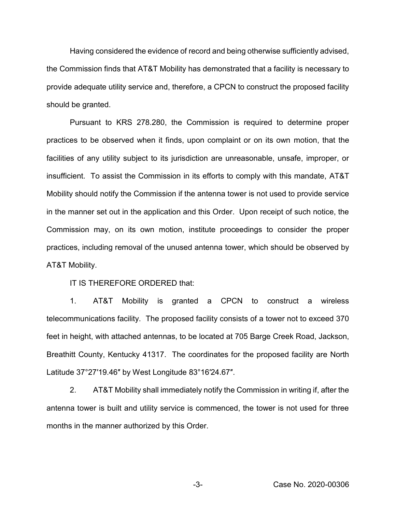Having considered the evidence of record and being otherwise sufficiently advised, the Commission finds that AT&T Mobility has demonstrated that a facility is necessary to provide adequate utility service and, therefore, a CPCN to construct the proposed facility should be granted.

Pursuant to KRS 278.280, the Commission is required to determine proper practices to be observed when it finds, upon complaint or on its own motion, that the facilities of any utility subject to its jurisdiction are unreasonable, unsafe, improper, or insufficient. To assist the Commission in its efforts to comply with this mandate, AT&T Mobility should notify the Commission if the antenna tower is not used to provide service in the manner set out in the application and this Order. Upon receipt of such notice, the Commission may, on its own motion, institute proceedings to consider the proper practices, including removal of the unused antenna tower, which should be observed by AT&T Mobility.

IT IS THEREFORE ORDERED that:

1. AT&T Mobility is granted a CPCN to construct a wireless telecommunications facility. The proposed facility consists of a tower not to exceed 370 feet in height, with attached antennas, to be located at 705 Barge Creek Road, Jackson, Breathitt County, Kentucky 41317. The coordinates for the proposed facility are North Latitude 37°27′19.46″ by West Longitude 83°16′24.67″.

2. AT&T Mobility shall immediately notify the Commission in writing if, after the antenna tower is built and utility service is commenced, the tower is not used for three months in the manner authorized by this Order.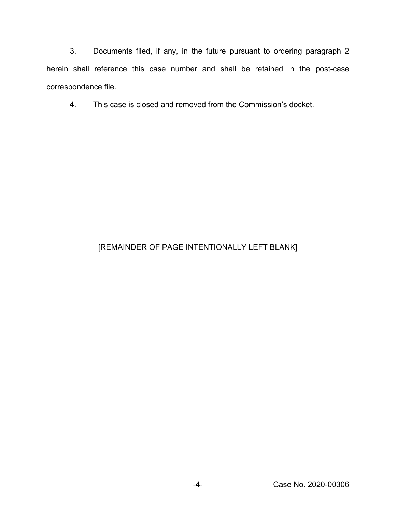3. Documents filed, if any, in the future pursuant to ordering paragraph 2 herein shall reference this case number and shall be retained in the post-case correspondence file.

4. This case is closed and removed from the Commission's docket.

## [REMAINDER OF PAGE INTENTIONALLY LEFT BLANK]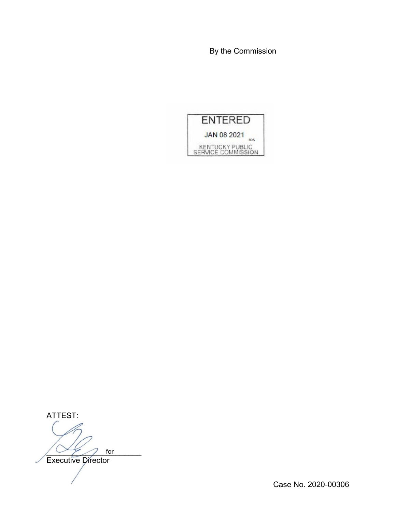By the Commission



ATTEST:  $\bigwedge \bigcup \neq \bigwedge$  for Executive Director

Case No. 2020-00306